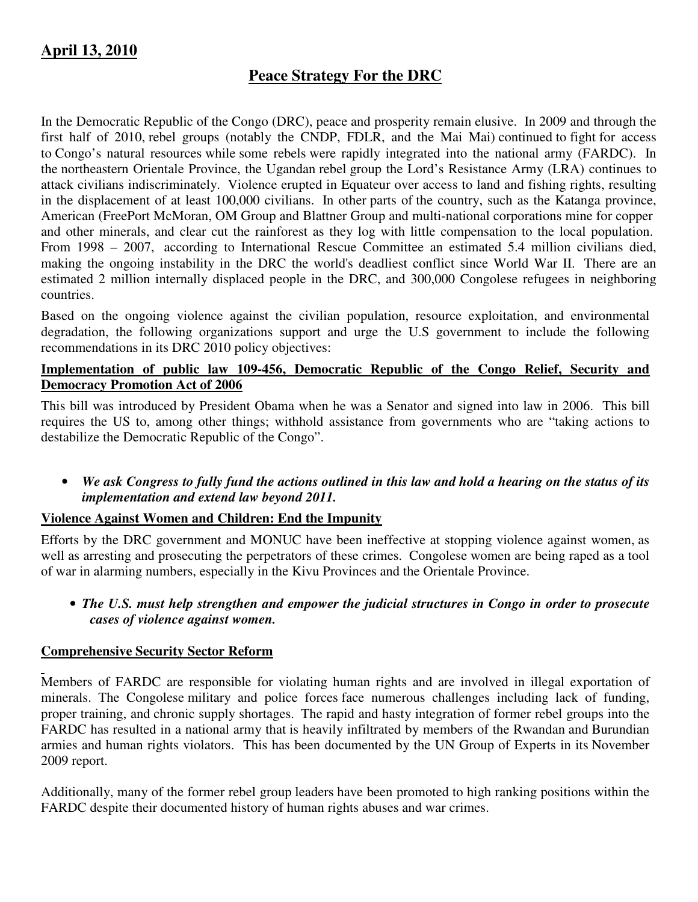# **April 13, 2010**

## **Peace Strategy For the DRC**

In the Democratic Republic of the Congo (DRC), peace and prosperity remain elusive. In 2009 and through the first half of 2010, rebel groups (notably the CNDP, FDLR, and the Mai Mai) continued to fight for access to Congo's natural resources while some rebels were rapidly integrated into the national army (FARDC). In the northeastern Orientale Province, the Ugandan rebel group the Lord's Resistance Army (LRA) continues to attack civilians indiscriminately. Violence erupted in Equateur over access to land and fishing rights, resulting in the displacement of at least 100,000 civilians. In other parts of the country, such as the Katanga province, American (FreePort McMoran, OM Group and Blattner Group and multi-national corporations mine for copper and other minerals, and clear cut the rainforest as they log with little compensation to the local population. From 1998 – 2007, according to International Rescue Committee an estimated 5.4 million civilians died, making the ongoing instability in the DRC the world's deadliest conflict since World War II. There are an estimated 2 million internally displaced people in the DRC, and 300,000 Congolese refugees in neighboring countries.

Based on the ongoing violence against the civilian population, resource exploitation, and environmental degradation, the following organizations support and urge the U.S government to include the following recommendations in its DRC 2010 policy objectives:

## **Implementation of public law 109-456, Democratic Republic of the Congo Relief, Security and Democracy Promotion Act of 2006**

This bill was introduced by President Obama when he was a Senator and signed into law in 2006. This bill requires the US to, among other things; withhold assistance from governments who are "taking actions to destabilize the Democratic Republic of the Congo".

• *We ask Congress to fully fund the actions outlined in this law and hold a hearing on the status of its implementation and extend law beyond 2011.*

## **Violence Against Women and Children: End the Impunity**

Efforts by the DRC government and MONUC have been ineffective at stopping violence against women, as well as arresting and prosecuting the perpetrators of these crimes. Congolese women are being raped as a tool of war in alarming numbers, especially in the Kivu Provinces and the Orientale Province.

• *The U.S. must help strengthen and empower the judicial structures in Congo in order to prosecute cases of violence against women.* 

## **Comprehensive Security Sector Reform**

Members of FARDC are responsible for violating human rights and are involved in illegal exportation of minerals. The Congolese military and police forces face numerous challenges including lack of funding, proper training, and chronic supply shortages. The rapid and hasty integration of former rebel groups into the FARDC has resulted in a national army that is heavily infiltrated by members of the Rwandan and Burundian armies and human rights violators. This has been documented by the UN Group of Experts in its November 2009 report.

Additionally, many of the former rebel group leaders have been promoted to high ranking positions within the FARDC despite their documented history of human rights abuses and war crimes.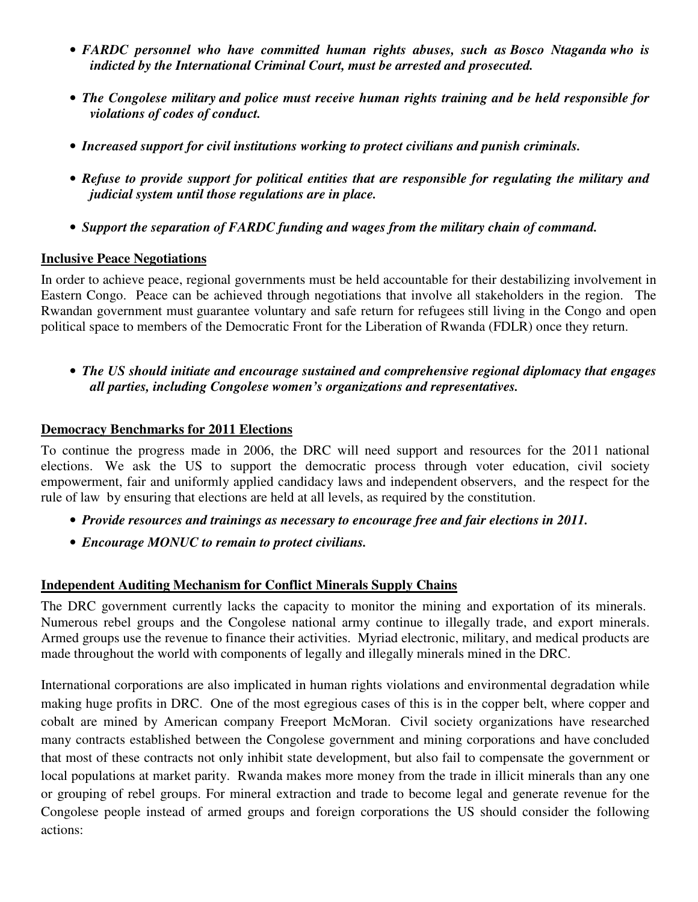- *FARDC personnel who have committed human rights abuses, such as Bosco Ntaganda who is indicted by the International Criminal Court, must be arrested and prosecuted.*
- *The Congolese military and police must receive human rights training and be held responsible for violations of codes of conduct.*
- *Increased support for civil institutions working to protect civilians and punish criminals.*
- *Refuse to provide support for political entities that are responsible for regulating the military and judicial system until those regulations are in place.*
- *Support the separation of FARDC funding and wages from the military chain of command.*

#### **Inclusive Peace Negotiations**

In order to achieve peace, regional governments must be held accountable for their destabilizing involvement in Eastern Congo. Peace can be achieved through negotiations that involve all stakeholders in the region. The Rwandan government must guarantee voluntary and safe return for refugees still living in the Congo and open political space to members of the Democratic Front for the Liberation of Rwanda (FDLR) once they return.

• *The US should initiate and encourage sustained and comprehensive regional diplomacy that engages all parties, including Congolese women's organizations and representatives.* 

#### **Democracy Benchmarks for 2011 Elections**

To continue the progress made in 2006, the DRC will need support and resources for the 2011 national elections. We ask the US to support the democratic process through voter education, civil society empowerment, fair and uniformly applied candidacy laws and independent observers, and the respect for the rule of law by ensuring that elections are held at all levels, as required by the constitution.

- *Provide resources and trainings as necessary to encourage free and fair elections in 2011.*
- *Encourage MONUC to remain to protect civilians.*

## **Independent Auditing Mechanism for Conflict Minerals Supply Chains**

The DRC government currently lacks the capacity to monitor the mining and exportation of its minerals. Numerous rebel groups and the Congolese national army continue to illegally trade, and export minerals. Armed groups use the revenue to finance their activities. Myriad electronic, military, and medical products are made throughout the world with components of legally and illegally minerals mined in the DRC.

International corporations are also implicated in human rights violations and environmental degradation while making huge profits in DRC. One of the most egregious cases of this is in the copper belt, where copper and cobalt are mined by American company Freeport McMoran. Civil society organizations have researched many contracts established between the Congolese government and mining corporations and have concluded that most of these contracts not only inhibit state development, but also fail to compensate the government or local populations at market parity. Rwanda makes more money from the trade in illicit minerals than any one or grouping of rebel groups. For mineral extraction and trade to become legal and generate revenue for the Congolese people instead of armed groups and foreign corporations the US should consider the following actions: